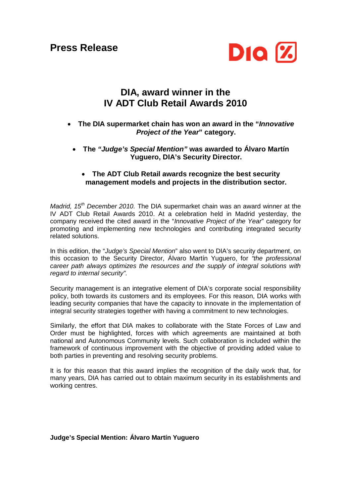**Press Release**



## **DIA, award winner in the IV ADT Club Retail Awards 2010**

- **The DIA supermarket chain has won an award in the "***Innovative Project of the Year***" category.**
	- **The** *"Judge's Special Mention"* **was awarded to Álvaro Martín Yuguero, DIA's Security Director.**

## **The ADT Club Retail awards recognize the best security management models and projects in the distribution sector.**

*Madrid, 15th December 2010.* The DIA supermarket chain was an award winner at the IV ADT Club Retail Awards 2010. At a celebration held in Madrid yesterday, the company received the cited award in the "*Innovative Project of the Year*" category for promoting and implementing new technologies and contributing integrated security related solutions.

In this edition, the "*Judge's Special Mention*" also went to DIA's security department, on this occasion to the Security Director, Álvaro Martín Yuguero, for *"the professional career path always optimizes the resources and the supply of integral solutions with regard to internal security".*

Security management is an integrative element of DIA's corporate social responsibility policy, both towards its customers and its employees. For this reason, DIA works with leading security companies that have the capacity to innovate in the implementation of integral security strategies together with having a commitment to new technologies.

Similarly, the effort that DIA makes to collaborate with the State Forces of Law and Order must be highlighted, forces with which agreements are maintained at both national and Autonomous Community levels. Such collaboration is included within the framework of continuous improvement with the objective of providing added value to both parties in preventing and resolving security problems.

It is for this reason that this award implies the recognition of the daily work that, for many years, DIA has carried out to obtain maximum security in its establishments and working centres.

## **Judge's Special Mention: Álvaro Martín Yuguero**